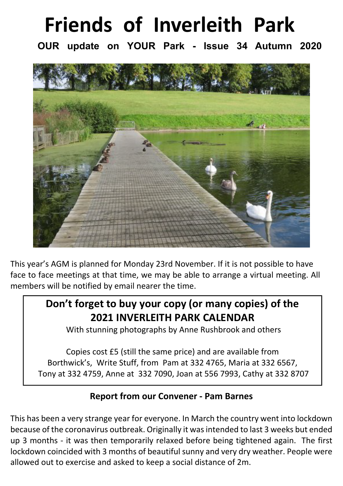# **Friends of Inverleith Park**

**OUR update on YOUR Park - Issue 34 Autumn 2020**



This year's AGM is planned for Monday 23rd November. If it is not possible to have face to face meetings at that time, we may be able to arrange a virtual meeting. All members will be notified by email nearer the time.

# **Don't forget to buy your copy (or many copies) of the 2021 INVERLEITH PARK CALENDAR**

With stunning photographs by Anne Rushbrook and others

Copies cost £5 (still the same price) and are available from Borthwick's, Write Stuff, from Pam at 332 4765, Maria at 332 6567, Tony at 332 4759, Anne at 332 7090, Joan at 556 7993, Cathy at 332 8707

# **Report from our Convener - Pam Barnes**

This has been a very strange year for everyone. In March the country went into lockdown because of the coronavirus outbreak. Originally it was intended to last 3 weeks but ended up 3 months - it was then temporarily relaxed before being tightened again. The first lockdown coincided with 3 months of beautiful sunny and very dry weather. People were allowed out to exercise and asked to keep a social distance of 2m.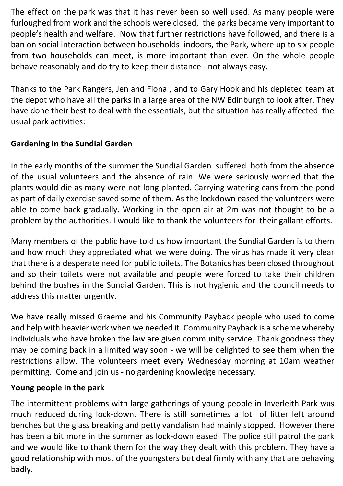The effect on the park was that it has never been so well used. As many people were furloughed from work and the schools were closed, the parks became very important to people's health and welfare. Now that further restrictions have followed, and there is a ban on social interaction between households indoors, the Park, where up to six people from two households can meet, is more important than ever. On the whole people behave reasonably and do try to keep their distance - not always easy.

Thanks to the Park Rangers, Jen and Fiona , and to Gary Hook and his depleted team at the depot who have all the parks in a large area of the NW Edinburgh to look after. They have done their best to deal with the essentials, but the situation has really affected the usual park activities:

# **Gardening in the Sundial Garden**

In the early months of the summer the Sundial Garden suffered both from the absence of the usual volunteers and the absence of rain. We were seriously worried that the plants would die as many were not long planted. Carrying watering cans from the pond as part of daily exercise saved some of them. As the lockdown eased the volunteers were able to come back gradually. Working in the open air at 2m was not thought to be a problem by the authorities. I would like to thank the volunteers for their gallant efforts.

Many members of the public have told us how important the Sundial Garden is to them and how much they appreciated what we were doing. The virus has made it very clear that there is a desperate need for public toilets. The Botanics has been closed throughout and so their toilets were not available and people were forced to take their children behind the bushes in the Sundial Garden. This is not hygienic and the council needs to address this matter urgently.

We have really missed Graeme and his Community Payback people who used to come and help with heavier work when we needed it. Community Payback is a scheme whereby individuals who have broken the law are given community service. Thank goodness they may be coming back in a limited way soon - we will be delighted to see them when the restrictions allow. The volunteers meet every Wednesday morning at 10am weather permitting. Come and join us - no gardening knowledge necessary.

#### **Young people in the park**

The intermittent problems with large gatherings of young people in Inverleith Park was much reduced during lock-down. There is still sometimes a lot of litter left around benches but the glass breaking and petty vandalism had mainly stopped. However there has been a bit more in the summer as lock-down eased. The police still patrol the park and we would like to thank them for the way they dealt with this problem. They have a good relationship with most of the youngsters but deal firmly with any that are behaving badly.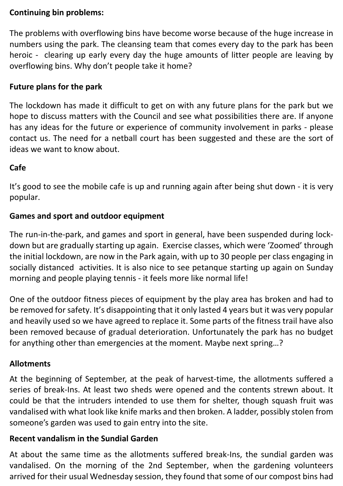#### **Continuing bin problems:**

The problems with overflowing bins have become worse because of the huge increase in numbers using the park. The cleansing team that comes every day to the park has been heroic - clearing up early every day the huge amounts of litter people are leaving by overflowing bins. Why don't people take it home?

#### **Future plans for the park**

The lockdown has made it difficult to get on with any future plans for the park but we hope to discuss matters with the Council and see what possibilities there are. If anyone has any ideas for the future or experience of community involvement in parks - please contact us. The need for a netball court has been suggested and these are the sort of ideas we want to know about.

#### **Cafe**

It's good to see the mobile cafe is up and running again after being shut down - it is very popular.

#### **Games and sport and outdoor equipment**

The run-in-the-park, and games and sport in general, have been suspended during lockdown but are gradually starting up again. Exercise classes, which were 'Zoomed' through the initial lockdown, are now in the Park again, with up to 30 people per class engaging in socially distanced activities. It is also nice to see petanque starting up again on Sunday morning and people playing tennis - it feels more like normal life!

One of the outdoor fitness pieces of equipment by the play area has broken and had to be removed for safety. It's disappointing that it only lasted 4 years but it was very popular and heavily used so we have agreed to replace it. Some parts of the fitness trail have also been removed because of gradual deterioration. Unfortunately the park has no budget for anything other than emergencies at the moment. Maybe next spring…?

#### **Allotments**

At the beginning of September, at the peak of harvest-time, the allotments suffered a series of break-Ins. At least two sheds were opened and the contents strewn about. It could be that the intruders intended to use them for shelter, though squash fruit was vandalised with what look like knife marks and then broken. A ladder, possibly stolen from someone's garden was used to gain entry into the site.

#### **Recent vandalism in the Sundial Garden**

At about the same time as the allotments suffered break-Ins, the sundial garden was vandalised. On the morning of the 2nd September, when the gardening volunteers arrived for their usual Wednesday session, they found that some of our compost bins had